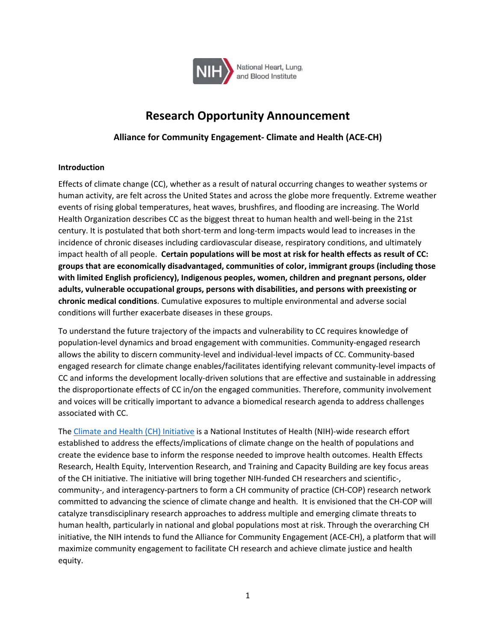

# **Research Opportunity Announcement**

# **Alliance for Community Engagement- Climate and Health (ACE-CH)**

## **Introduction**

Effects of climate change (CC), whether as a result of natural occurring changes to weather systems or human activity, are felt across the United States and across the globe more frequently. Extreme weather events of rising global temperatures, heat waves, brushfires, and flooding are increasing. The World Health Organization describes CC as the biggest threat to human health and well-being in the 21st century. It is postulated that both short-term and long-term impacts would lead to increases in the incidence of chronic diseases including cardiovascular disease, respiratory conditions, and ultimately impact health of all people. **Certain populations will be most at risk for health effects as result of CC: groups that are economically disadvantaged, communities of color, immigrant groups (including those with limited English proficiency), Indigenous peoples, women, children and pregnant persons, older adults, vulnerable occupational groups, persons with disabilities, and persons with preexisting or chronic medical conditions**. Cumulative exposures to multiple environmental and adverse social conditions will further exacerbate diseases in these groups.

To understand the future trajectory of the impacts and vulnerability to CC requires knowledge of population-level dynamics and broad engagement with communities. Community-engaged research allows the ability to discern community-level and individual-level impacts of CC. Community-based engaged research for climate change enables/facilitates identifying relevant community-level impacts of CC and informs the development locally-driven solutions that are effective and sustainable in addressing the disproportionate effects of CC in/on the engaged communities. Therefore, community involvement and voices will be critically important to advance a biomedical research agenda to address challenges associated with CC.

The [Climate and Health \(CH\) Initiative](https://www.nih.gov/climateandhealth) is a National Institutes of Health (NIH)-wide research effort established to address the effects/implications of climate change on the health of populations and create the evidence base to inform the response needed to improve health outcomes. Health Effects Research, Health Equity, Intervention Research, and Training and Capacity Building are key focus areas of the CH initiative. The initiative will bring together NIH-funded CH researchers and scientific-, community-, and interagency-partners to form a CH community of practice (CH-COP) research network committed to advancing the science of climate change and health. It is envisioned that the CH-COP will catalyze transdisciplinary research approaches to address multiple and emerging climate threats to human health, particularly in national and global populations most at risk. Through the overarching CH initiative, the NIH intends to fund the Alliance for Community Engagement (ACE-CH), a platform that will maximize community engagement to facilitate CH research and achieve climate justice and health equity.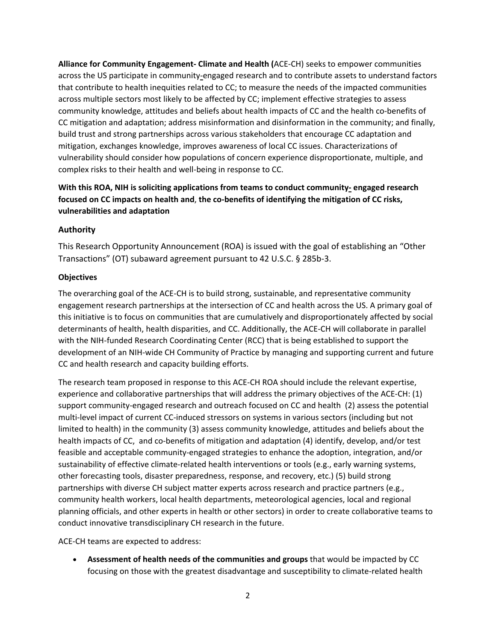**Alliance for Community Engagement- Climate and Health (**ACE-CH) seeks to empower communities across the US participate in community-engaged research and to contribute assets to understand factors that contribute to health inequities related to CC; to measure the needs of the impacted communities across multiple sectors most likely to be affected by CC; implement effective strategies to assess community knowledge, attitudes and beliefs about health impacts of CC and the health co-benefits of CC mitigation and adaptation; address misinformation and disinformation in the community; and finally, build trust and strong partnerships across various stakeholders that encourage CC adaptation and mitigation, exchanges knowledge, improves awareness of local CC issues. Characterizations of vulnerability should consider how populations of concern experience disproportionate, multiple, and complex risks to their health and well-being in response to CC.

# **With this ROA, NIH is soliciting applications from teams to conduct community- engaged research focused on CC impacts on health and**, **the co-benefits of identifying the mitigation of CC risks, vulnerabilities and adaptation**

## **Authority**

This Research Opportunity Announcement (ROA) is issued with the goal of establishing an "Other Transactions" (OT) subaward agreement pursuant to 42 U.S.C. § 285b-3.

## **Objectives**

The overarching goal of the ACE-CH is to build strong, sustainable, and representative community engagement research partnerships at the intersection of CC and health across the US. A primary goal of this initiative is to focus on communities that are cumulatively and disproportionately affected by social determinants of health, health disparities, and CC. Additionally, the ACE-CH will collaborate in parallel with the NIH-funded Research Coordinating Center (RCC) that is being established to support the development of an NIH-wide CH Community of Practice by managing and supporting current and future CC and health research and capacity building efforts.

The research team proposed in response to this ACE-CH ROA should include the relevant expertise, experience and collaborative partnerships that will address the primary objectives of the ACE-CH: (1) support community-engaged research and outreach focused on CC and health (2) assess the potential multi-level impact of current CC-induced stressors on systems in various sectors (including but not limited to health) in the community (3) assess community knowledge, attitudes and beliefs about the health impacts of CC, and co-benefits of mitigation and adaptation (4) identify, develop, and/or test feasible and acceptable community-engaged strategies to enhance the adoption, integration, and/or sustainability of effective climate-related health interventions or tools (e.g., early warning systems, other forecasting tools, disaster preparedness, response, and recovery, etc.) (5) build strong partnerships with diverse CH subject matter experts across research and practice partners (e.g., community health workers, local health departments, meteorological agencies, local and regional planning officials, and other experts in health or other sectors) in order to create collaborative teams to conduct innovative transdisciplinary CH research in the future.

ACE-CH teams are expected to address:

• **Assessment of health needs of the communities and groups** that would be impacted by CC focusing on those with the greatest disadvantage and susceptibility to climate-related health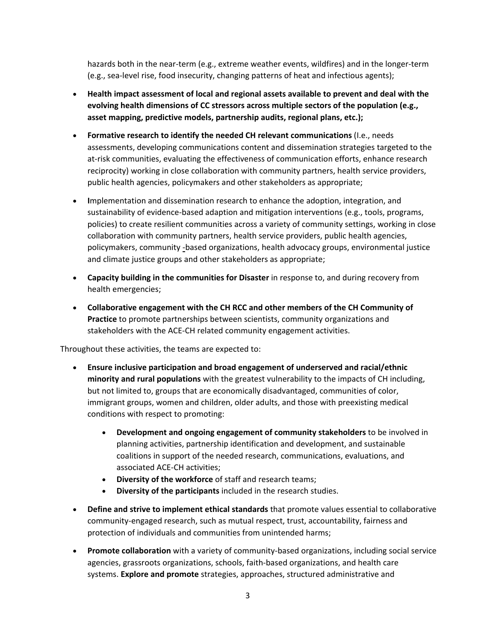hazards both in the near-term (e.g., extreme weather events, wildfires) and in the longer-term (e.g., sea-level rise, food insecurity, changing patterns of heat and infectious agents);

- **Health impact assessment of local and regional assets available to prevent and deal with the evolving health dimensions of CC stressors across multiple sectors of the population (e.g., asset mapping, predictive models, partnership audits, regional plans, etc.);**
- **Formative research to identify the needed CH relevant communications** (I.e., needs assessments, developing communications content and dissemination strategies targeted to the at-risk communities, evaluating the effectiveness of communication efforts, enhance research reciprocity) working in close collaboration with community partners, health service providers, public health agencies, policymakers and other stakeholders as appropriate;
- **I**mplementation and dissemination research to enhance the adoption, integration, and sustainability of evidence-based adaption and mitigation interventions (e.g., tools, programs, policies) to create resilient communities across a variety of community settings, working in close collaboration with community partners, health service providers, public health agencies, policymakers, community -based organizations, health advocacy groups, environmental justice and climate justice groups and other stakeholders as appropriate;
- **Capacity building in the communities for Disaster** in response to, and during recovery from health emergencies;
- **Collaborative engagement with the CH RCC and other members of the CH Community of Practice** to promote partnerships between scientists, community organizations and stakeholders with the ACE-CH related community engagement activities.

Throughout these activities, the teams are expected to:

- **Ensure inclusive participation and broad engagement of underserved and racial/ethnic minority and rural populations** with the greatest vulnerability to the impacts of CH including, but not limited to, groups that are economically disadvantaged, communities of color, immigrant groups, women and children, older adults, and those with preexisting medical conditions with respect to promoting:
	- **Development and ongoing engagement of community stakeholders** to be involved in planning activities, partnership identification and development, and sustainable coalitions in support of the needed research, communications, evaluations, and associated ACE-CH activities;
	- **Diversity of the workforce** of staff and research teams;
	- **Diversity of the participants** included in the research studies.
- **Define and strive to implement ethical standards** that promote values essential to collaborative community-engaged research, such as mutual respect, trust, accountability, fairness and protection of individuals and communities from unintended harms;
- **Promote collaboration** with a variety of community-based organizations, including social service agencies, grassroots organizations, schools, faith-based organizations, and health care systems. **Explore and promote** strategies, approaches, structured administrative and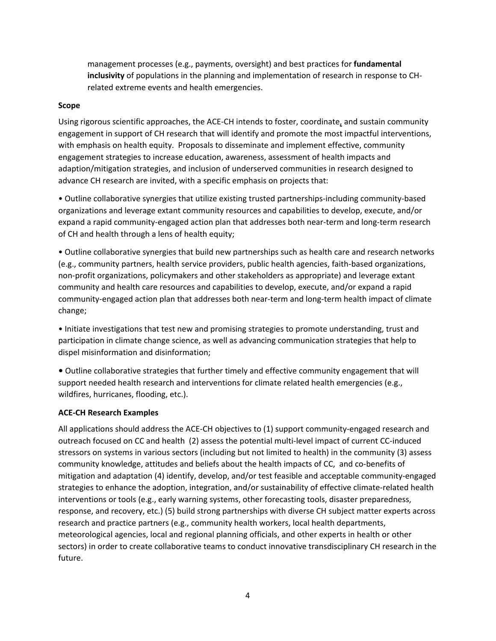management processes (e.g., payments, oversight) and best practices for **fundamental inclusivity** of populations in the planning and implementation of research in response to CHrelated extreme events and health emergencies.

#### **Scope**

Using rigorous scientific approaches, the ACE-CH intends to foster, coordinate, and sustain community engagement in support of CH research that will identify and promote the most impactful interventions, with emphasis on health equity. Proposals to disseminate and implement effective, community engagement strategies to increase education, awareness, assessment of health impacts and adaption/mitigation strategies, and inclusion of underserved communities in research designed to advance CH research are invited, with a specific emphasis on projects that:

• Outline collaborative synergies that utilize existing trusted partnerships-including community-based organizations and leverage extant community resources and capabilities to develop, execute, and/or expand a rapid community-engaged action plan that addresses both near-term and long-term research of CH and health through a lens of health equity;

• Outline collaborative synergies that build new partnerships such as health care and research networks (e.g., community partners, health service providers, public health agencies, faith-based organizations, non-profit organizations, policymakers and other stakeholders as appropriate) and leverage extant community and health care resources and capabilities to develop, execute, and/or expand a rapid community-engaged action plan that addresses both near-term and long-term health impact of climate change;

• Initiate investigations that test new and promising strategies to promote understanding, trust and participation in climate change science, as well as advancing communication strategies that help to dispel misinformation and disinformation;

• Outline collaborative strategies that further timely and effective community engagement that will support needed health research and interventions for climate related health emergencies (e.g., wildfires, hurricanes, flooding, etc.).

#### **ACE-CH Research Examples**

All applications should address the ACE-CH objectives to (1) support community-engaged research and outreach focused on CC and health (2) assess the potential multi-level impact of current CC-induced stressors on systems in various sectors (including but not limited to health) in the community (3) assess community knowledge, attitudes and beliefs about the health impacts of CC, and co-benefits of mitigation and adaptation (4) identify, develop, and/or test feasible and acceptable community-engaged strategies to enhance the adoption, integration, and/or sustainability of effective climate-related health interventions or tools (e.g., early warning systems, other forecasting tools, disaster preparedness, response, and recovery, etc.) (5) build strong partnerships with diverse CH subject matter experts across research and practice partners (e.g., community health workers, local health departments, meteorological agencies, local and regional planning officials, and other experts in health or other sectors) in order to create collaborative teams to conduct innovative transdisciplinary CH research in the future.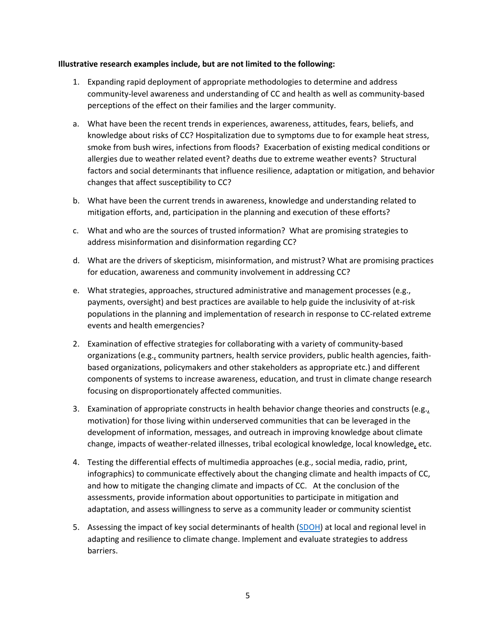#### **Illustrative research examples include, but are not limited to the following:**

- 1. Expanding rapid deployment of appropriate methodologies to determine and address community-level awareness and understanding of CC and health as well as community-based perceptions of the effect on their families and the larger community.
- a. What have been the recent trends in experiences, awareness, attitudes, fears, beliefs, and knowledge about risks of CC? Hospitalization due to symptoms due to for example heat stress, smoke from bush wires, infections from floods? Exacerbation of existing medical conditions or allergies due to weather related event? deaths due to extreme weather events? Structural factors and social determinants that influence resilience, adaptation or mitigation, and behavior changes that affect susceptibility to CC?
- b. What have been the current trends in awareness, knowledge and understanding related to mitigation efforts, and, participation in the planning and execution of these efforts?
- c. What and who are the sources of trusted information? What are promising strategies to address misinformation and disinformation regarding CC?
- d. What are the drivers of skepticism, misinformation, and mistrust? What are promising practices for education, awareness and community involvement in addressing CC?
- e. What strategies, approaches, structured administrative and management processes (e.g., payments, oversight) and best practices are available to help guide the inclusivity of at-risk populations in the planning and implementation of research in response to CC-related extreme events and health emergencies?
- 2. Examination of effective strategies for collaborating with a variety of community-based organizations (e.g., community partners, health service providers, public health agencies, faithbased organizations, policymakers and other stakeholders as appropriate etc.) and different components of systems to increase awareness, education, and trust in climate change research focusing on disproportionately affected communities.
- 3. Examination of appropriate constructs in health behavior change theories and constructs (e.g., motivation) for those living within underserved communities that can be leveraged in the development of information, messages, and outreach in improving knowledge about climate change, impacts of weather-related illnesses, tribal ecological knowledge, local knowledge, etc.
- 4. Testing the differential effects of multimedia approaches (e.g., social media, radio, print, infographics) to communicate effectively about the changing climate and health impacts of CC, and how to mitigate the changing climate and impacts of CC. At the conclusion of the assessments, provide information about opportunities to participate in mitigation and adaptation, and assess willingness to serve as a community leader or community scientist
- 5. Assessing the impact of key social determinants of health [\(SDOH\)](https://www.phenxtoolkit.org/collections/view/6) at local and regional level in adapting and resilience to climate change. Implement and evaluate strategies to address barriers.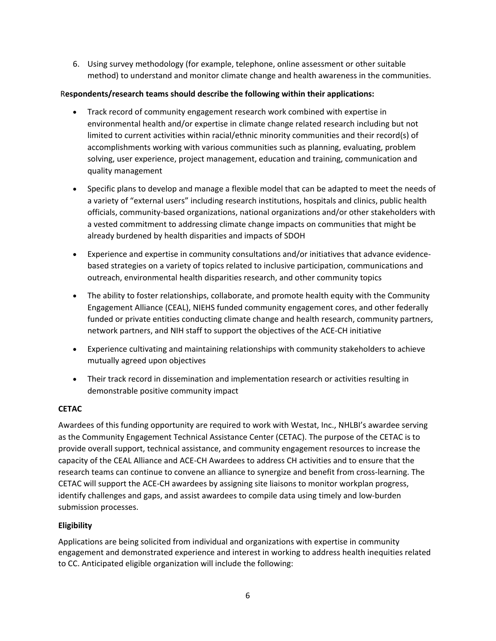6. Using survey methodology (for example, telephone, online assessment or other suitable method) to understand and monitor climate change and health awareness in the communities.

## R**espondents/research teams should describe the following within their applications:**

- Track record of community engagement research work combined with expertise in environmental health and/or expertise in climate change related research including but not limited to current activities within racial/ethnic minority communities and their record(s) of accomplishments working with various communities such as planning, evaluating, problem solving, user experience, project management, education and training, communication and quality management
- Specific plans to develop and manage a flexible model that can be adapted to meet the needs of a variety of "external users" including research institutions, hospitals and clinics, public health officials, community-based organizations, national organizations and/or other stakeholders with a vested commitment to addressing climate change impacts on communities that might be already burdened by health disparities and impacts of SDOH
- Experience and expertise in community consultations and/or initiatives that advance evidencebased strategies on a variety of topics related to inclusive participation, communications and outreach, environmental health disparities research, and other community topics
- The ability to foster relationships, collaborate, and promote health equity with the Community Engagement Alliance (CEAL), NIEHS funded community engagement cores, and other federally funded or private entities conducting climate change and health research, community partners, network partners, and NIH staff to support the objectives of the ACE-CH initiative
- Experience cultivating and maintaining relationships with community stakeholders to achieve mutually agreed upon objectives
- Their track record in dissemination and implementation research or activities resulting in demonstrable positive community impact

## **CETAC**

Awardees of this funding opportunity are required to work with Westat, Inc., NHLBI's awardee serving as the Community Engagement Technical Assistance Center (CETAC). The purpose of the CETAC is to provide overall support, technical assistance, and community engagement resources to increase the capacity of the CEAL Alliance and ACE-CH Awardees to address CH activities and to ensure that the research teams can continue to convene an alliance to synergize and benefit from cross-learning. The CETAC will support the ACE-CH awardees by assigning site liaisons to monitor workplan progress, identify challenges and gaps, and assist awardees to compile data using timely and low-burden submission processes.

## **Eligibility**

Applications are being solicited from individual and organizations with expertise in community engagement and demonstrated experience and interest in working to address health inequities related to CC. Anticipated eligible organization will include the following: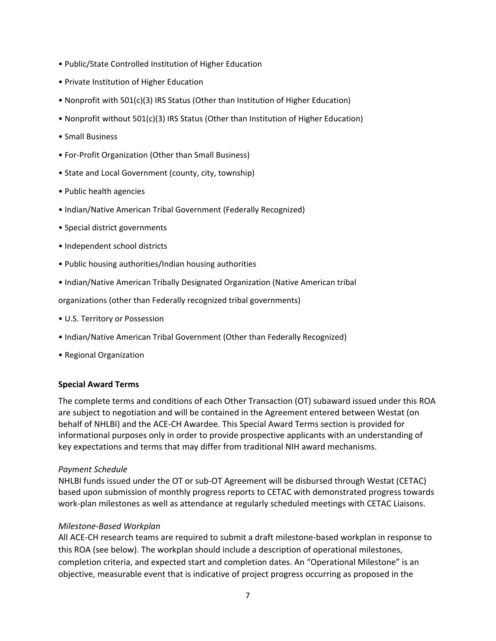- Public/State Controlled Institution of Higher Education
- Private Institution of Higher Education
- Nonprofit with 501(c)(3) IRS Status (Other than Institution of Higher Education)
- Nonprofit without 501(c)(3) IRS Status (Other than Institution of Higher Education)
- Small Business
- For-Profit Organization (Other than Small Business)
- State and Local Government (county, city, township)
- Public health agencies
- Indian/Native American Tribal Government (Federally Recognized)
- Special district governments
- Independent school districts
- Public housing authorities/Indian housing authorities
- Indian/Native American Tribally Designated Organization (Native American tribal

organizations (other than Federally recognized tribal governments)

- U.S. Territory or Possession
- Indian/Native American Tribal Government (Other than Federally Recognized)
- Regional Organization

#### **Special Award Terms**

The complete terms and conditions of each Other Transaction (OT) subaward issued under this ROA are subject to negotiation and will be contained in the Agreement entered between Westat (on behalf of NHLBI) and the ACE-CH Awardee. This Special Award Terms section is provided for informational purposes only in order to provide prospective applicants with an understanding of key expectations and terms that may differ from traditional NIH award mechanisms.

#### *Payment Schedule*

NHLBI funds issued under the OT or sub-OT Agreement will be disbursed through Westat (CETAC) based upon submission of monthly progress reports to CETAC with demonstrated progress towards work-plan milestones as well as attendance at regularly scheduled meetings with CETAC Liaisons.

#### *Milestone-Based Workplan*

All ACE-CH research teams are required to submit a draft milestone-based workplan in response to this ROA (see below). The workplan should include a description of operational milestones, completion criteria, and expected start and completion dates. An "Operational Milestone" is an objective, measurable event that is indicative of project progress occurring as proposed in the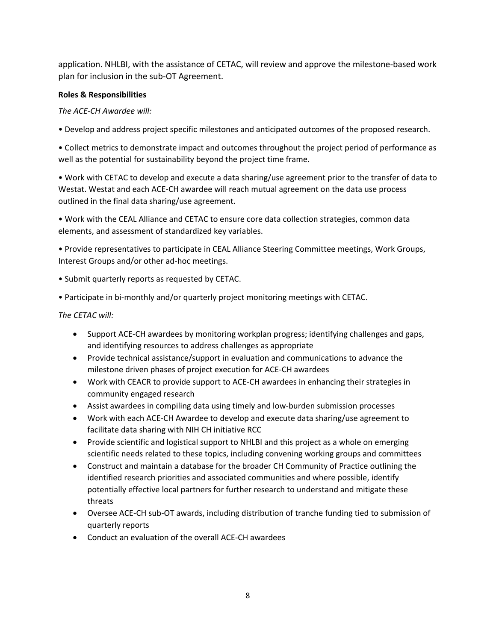application. NHLBI, with the assistance of CETAC, will review and approve the milestone-based work plan for inclusion in the sub-OT Agreement.

## **Roles & Responsibilities**

# *The ACE-CH Awardee will:*

• Develop and address project specific milestones and anticipated outcomes of the proposed research.

• Collect metrics to demonstrate impact and outcomes throughout the project period of performance as well as the potential for sustainability beyond the project time frame.

• Work with CETAC to develop and execute a data sharing/use agreement prior to the transfer of data to Westat. Westat and each ACE-CH awardee will reach mutual agreement on the data use process outlined in the final data sharing/use agreement.

• Work with the CEAL Alliance and CETAC to ensure core data collection strategies, common data elements, and assessment of standardized key variables.

• Provide representatives to participate in CEAL Alliance Steering Committee meetings, Work Groups, Interest Groups and/or other ad-hoc meetings.

• Submit quarterly reports as requested by CETAC.

• Participate in bi-monthly and/or quarterly project monitoring meetings with CETAC.

## *The CETAC will:*

- Support ACE-CH awardees by monitoring workplan progress; identifying challenges and gaps, and identifying resources to address challenges as appropriate
- Provide technical assistance/support in evaluation and communications to advance the milestone driven phases of project execution for ACE-CH awardees
- Work with CEACR to provide support to ACE-CH awardees in enhancing their strategies in community engaged research
- Assist awardees in compiling data using timely and low-burden submission processes
- Work with each ACE-CH Awardee to develop and execute data sharing/use agreement to facilitate data sharing with NIH CH initiative RCC
- Provide scientific and logistical support to NHLBI and this project as a whole on emerging scientific needs related to these topics, including convening working groups and committees
- Construct and maintain a database for the broader CH Community of Practice outlining the identified research priorities and associated communities and where possible, identify potentially effective local partners for further research to understand and mitigate these threats
- Oversee ACE-CH sub-OT awards, including distribution of tranche funding tied to submission of quarterly reports
- Conduct an evaluation of the overall ACE-CH awardees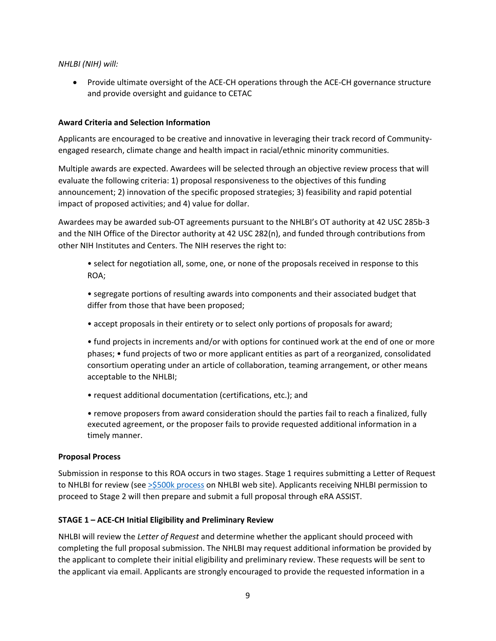#### *NHLBI (NIH) will:*

• Provide ultimate oversight of the ACE-CH operations through the ACE-CH governance structure and provide oversight and guidance to CETAC

## **Award Criteria and Selection Information**

Applicants are encouraged to be creative and innovative in leveraging their track record of Communityengaged research, climate change and health impact in racial/ethnic minority communities.

Multiple awards are expected. Awardees will be selected through an objective review process that will evaluate the following criteria: 1) proposal responsiveness to the objectives of this funding announcement; 2) innovation of the specific proposed strategies; 3) feasibility and rapid potential impact of proposed activities; and 4) value for dollar.

Awardees may be awarded sub-OT agreements pursuant to the NHLBI's OT authority at 42 USC 285b-3 and the NIH Office of the Director authority at 42 USC 282(n), and funded through contributions from other NIH Institutes and Centers. The NIH reserves the right to:

• select for negotiation all, some, one, or none of the proposals received in response to this ROA;

• segregate portions of resulting awards into components and their associated budget that differ from those that have been proposed;

• accept proposals in their entirety or to select only portions of proposals for award;

• fund projects in increments and/or with options for continued work at the end of one or more phases; • fund projects of two or more applicant entities as part of a reorganized, consolidated consortium operating under an article of collaboration, teaming arrangement, or other means acceptable to the NHLBI;

• request additional documentation (certifications, etc.); and

• remove proposers from award consideration should the parties fail to reach a finalized, fully executed agreement, or the proposer fails to provide requested additional information in a timely manner.

#### **Proposal Process**

Submission in response to this ROA occurs in two stages. Stage 1 requires submitting a Letter of Request to NHLBI for review (see [>\\$500k process](https://www.nhlbi.nih.gov/grants-and-training/policies-and-guidelines/applications-with-direct-costs-of-500000-or-more-in-any-one-year) on NHLBI web site). Applicants receiving NHLBI permission to proceed to Stage 2 will then prepare and submit a full proposal through eRA ASSIST.

## **STAGE 1 – ACE-CH Initial Eligibility and Preliminary Review**

NHLBI will review the *Letter of Request* and determine whether the applicant should proceed with completing the full proposal submission. The NHLBI may request additional information be provided by the applicant to complete their initial eligibility and preliminary review. These requests will be sent to the applicant via email. Applicants are strongly encouraged to provide the requested information in a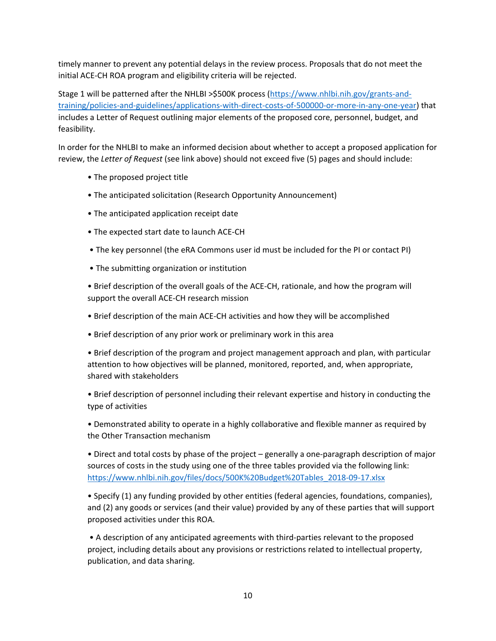timely manner to prevent any potential delays in the review process. Proposals that do not meet the initial ACE-CH ROA program and eligibility criteria will be rejected.

Stage 1 will be patterned after the NHLBI >\$500K process [\(https://www.nhlbi.nih.gov/grants-and](https://www.nhlbi.nih.gov/grants-and-training/policies-and-guidelines/applications-with-direct-costs-of-500000-or-more-in-any-one-year)[training/policies-and-guidelines/applications-with-direct-costs-of-500000-or-more-in-any-one-year\)](https://www.nhlbi.nih.gov/grants-and-training/policies-and-guidelines/applications-with-direct-costs-of-500000-or-more-in-any-one-year) that includes a Letter of Request outlining major elements of the proposed core, personnel, budget, and feasibility.

In order for the NHLBI to make an informed decision about whether to accept a proposed application for review, the *Letter of Request* (see link above) should not exceed five (5) pages and should include:

- The proposed project title
- The anticipated solicitation (Research Opportunity Announcement)
- The anticipated application receipt date
- The expected start date to launch ACE-CH
- The key personnel (the eRA Commons user id must be included for the PI or contact PI)
- The submitting organization or institution

• Brief description of the overall goals of the ACE-CH, rationale, and how the program will support the overall ACE-CH research mission

- Brief description of the main ACE-CH activities and how they will be accomplished
- Brief description of any prior work or preliminary work in this area

• Brief description of the program and project management approach and plan, with particular attention to how objectives will be planned, monitored, reported, and, when appropriate, shared with stakeholders

• Brief description of personnel including their relevant expertise and history in conducting the type of activities

• Demonstrated ability to operate in a highly collaborative and flexible manner as required by the Other Transaction mechanism

• Direct and total costs by phase of the project – generally a one-paragraph description of major sources of costs in the study using one of the three tables provided via the following link: [https://www.nhlbi.nih.gov/files/docs/500K%20Budget%20Tables\\_2018-09-17.xlsx](https://www.nhlbi.nih.gov/files/docs/500K%20Budget%20Tables_2018-09-17.xlsx) 

• Specify (1) any funding provided by other entities (federal agencies, foundations, companies), and (2) any goods or services (and their value) provided by any of these parties that will support proposed activities under this ROA.

• A description of any anticipated agreements with third-parties relevant to the proposed project, including details about any provisions or restrictions related to intellectual property, publication, and data sharing.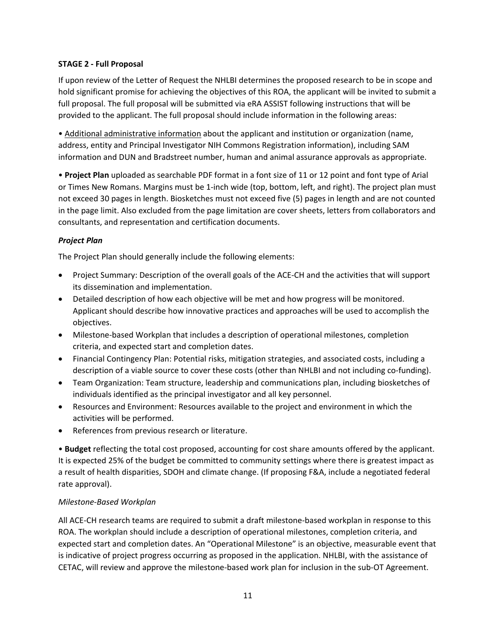## **STAGE 2 - Full Proposal**

If upon review of the Letter of Request the NHLBI determines the proposed research to be in scope and hold significant promise for achieving the objectives of this ROA, the applicant will be invited to submit a full proposal. The full proposal will be submitted via eRA ASSIST following instructions that will be provided to the applicant. The full proposal should include information in the following areas:

• Additional administrative information about the applicant and institution or organization (name, address, entity and Principal Investigator NIH Commons Registration information), including SAM information and DUN and Bradstreet number, human and animal assurance approvals as appropriate.

• **Project Plan** uploaded as searchable PDF format in a font size of 11 or 12 point and font type of Arial or Times New Romans. Margins must be 1-inch wide (top, bottom, left, and right). The project plan must not exceed 30 pages in length. Biosketches must not exceed five (5) pages in length and are not counted in the page limit. Also excluded from the page limitation are cover sheets, letters from collaborators and consultants, and representation and certification documents.

## *Project Plan*

The Project Plan should generally include the following elements:

- Project Summary: Description of the overall goals of the ACE-CH and the activities that will support its dissemination and implementation.
- Detailed description of how each objective will be met and how progress will be monitored. Applicant should describe how innovative practices and approaches will be used to accomplish the objectives.
- Milestone-based Workplan that includes a description of operational milestones, completion criteria, and expected start and completion dates.
- Financial Contingency Plan: Potential risks, mitigation strategies, and associated costs, including a description of a viable source to cover these costs (other than NHLBI and not including co-funding).
- Team Organization: Team structure, leadership and communications plan, including biosketches of individuals identified as the principal investigator and all key personnel.
- Resources and Environment: Resources available to the project and environment in which the activities will be performed.
- References from previous research or literature.

• **Budget** reflecting the total cost proposed, accounting for cost share amounts offered by the applicant. It is expected 25% of the budget be committed to community settings where there is greatest impact as a result of health disparities, SDOH and climate change. (If proposing F&A, include a negotiated federal rate approval).

## *Milestone-Based Workplan*

All ACE-CH research teams are required to submit a draft milestone-based workplan in response to this ROA. The workplan should include a description of operational milestones, completion criteria, and expected start and completion dates. An "Operational Milestone" is an objective, measurable event that is indicative of project progress occurring as proposed in the application. NHLBI, with the assistance of CETAC, will review and approve the milestone-based work plan for inclusion in the sub-OT Agreement.